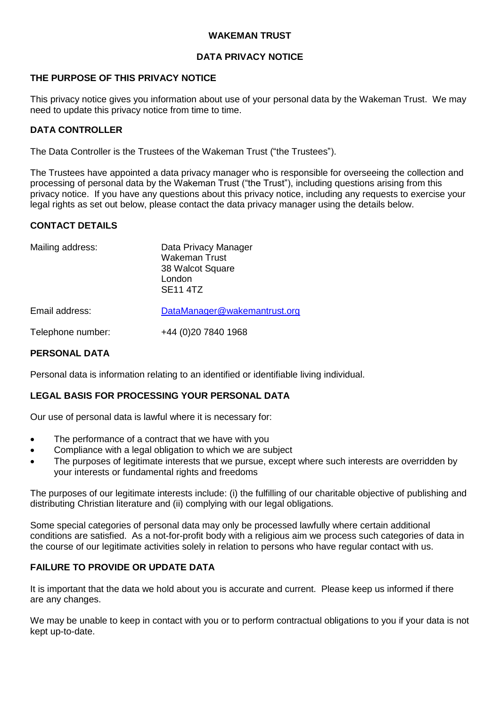## **WAKEMAN TRUST**

# **DATA PRIVACY NOTICE**

# **THE PURPOSE OF THIS PRIVACY NOTICE**

This privacy notice gives you information about use of your personal data by the Wakeman Trust. We may need to update this privacy notice from time to time.

## **DATA CONTROLLER**

The Data Controller is the Trustees of the Wakeman Trust ("the Trustees").

The Trustees have appointed a data privacy manager who is responsible for overseeing the collection and processing of personal data by the Wakeman Trust ("the Trust"), including questions arising from this privacy notice. If you have any questions about this privacy notice, including any requests to exercise your legal rights as set out below, please contact the data privacy manager using the details below.

# **CONTACT DETAILS**

| Mailing address:  | Data Privacy Manager<br><b>Wakeman Trust</b><br>38 Walcot Square<br>London<br><b>SE11 4TZ</b> |
|-------------------|-----------------------------------------------------------------------------------------------|
| Email address:    | DataManager@wakemantrust.org                                                                  |
| Telephone number: | +44 (0) 20 7840 1968                                                                          |

#### **PERSONAL DATA**

Personal data is information relating to an identified or identifiable living individual.

# **LEGAL BASIS FOR PROCESSING YOUR PERSONAL DATA**

Our use of personal data is lawful where it is necessary for:

- The performance of a contract that we have with you
- Compliance with a legal obligation to which we are subject
- The purposes of legitimate interests that we pursue, except where such interests are overridden by your interests or fundamental rights and freedoms

The purposes of our legitimate interests include: (i) the fulfilling of our charitable objective of publishing and distributing Christian literature and (ii) complying with our legal obligations.

Some special categories of personal data may only be processed lawfully where certain additional conditions are satisfied. As a not-for-profit body with a religious aim we process such categories of data in the course of our legitimate activities solely in relation to persons who have regular contact with us.

## **FAILURE TO PROVIDE OR UPDATE DATA**

It is important that the data we hold about you is accurate and current. Please keep us informed if there are any changes.

We may be unable to keep in contact with you or to perform contractual obligations to you if your data is not kept up-to-date.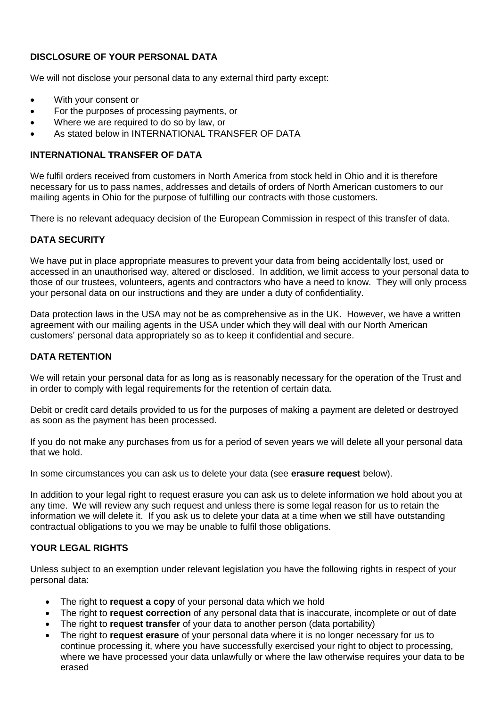# **DISCLOSURE OF YOUR PERSONAL DATA**

We will not disclose your personal data to any external third party except:

- With your consent or
- For the purposes of processing payments, or
- Where we are required to do so by law, or
- As stated below in INTERNATIONAL TRANSFER OF DATA

# **INTERNATIONAL TRANSFER OF DATA**

We fulfil orders received from customers in North America from stock held in Ohio and it is therefore necessary for us to pass names, addresses and details of orders of North American customers to our mailing agents in Ohio for the purpose of fulfilling our contracts with those customers.

There is no relevant adequacy decision of the European Commission in respect of this transfer of data.

# **DATA SECURITY**

We have put in place appropriate measures to prevent your data from being accidentally lost, used or accessed in an unauthorised way, altered or disclosed. In addition, we limit access to your personal data to those of our trustees, volunteers, agents and contractors who have a need to know. They will only process your personal data on our instructions and they are under a duty of confidentiality.

Data protection laws in the USA may not be as comprehensive as in the UK. However, we have a written agreement with our mailing agents in the USA under which they will deal with our North American customers' personal data appropriately so as to keep it confidential and secure.

# **DATA RETENTION**

We will retain your personal data for as long as is reasonably necessary for the operation of the Trust and in order to comply with legal requirements for the retention of certain data.

Debit or credit card details provided to us for the purposes of making a payment are deleted or destroyed as soon as the payment has been processed.

If you do not make any purchases from us for a period of seven years we will delete all your personal data that we hold.

In some circumstances you can ask us to delete your data (see **erasure request** below).

In addition to your legal right to request erasure you can ask us to delete information we hold about you at any time. We will review any such request and unless there is some legal reason for us to retain the information we will delete it. If you ask us to delete your data at a time when we still have outstanding contractual obligations to you we may be unable to fulfil those obligations.

# **YOUR LEGAL RIGHTS**

Unless subject to an exemption under relevant legislation you have the following rights in respect of your personal data:

- The right to **request a copy** of your personal data which we hold
- The right to **request correction** of any personal data that is inaccurate, incomplete or out of date
- The right to **request transfer** of your data to another person (data portability)
- The right to **request erasure** of your personal data where it is no longer necessary for us to continue processing it, where you have successfully exercised your right to object to processing, where we have processed your data unlawfully or where the law otherwise requires your data to be erased